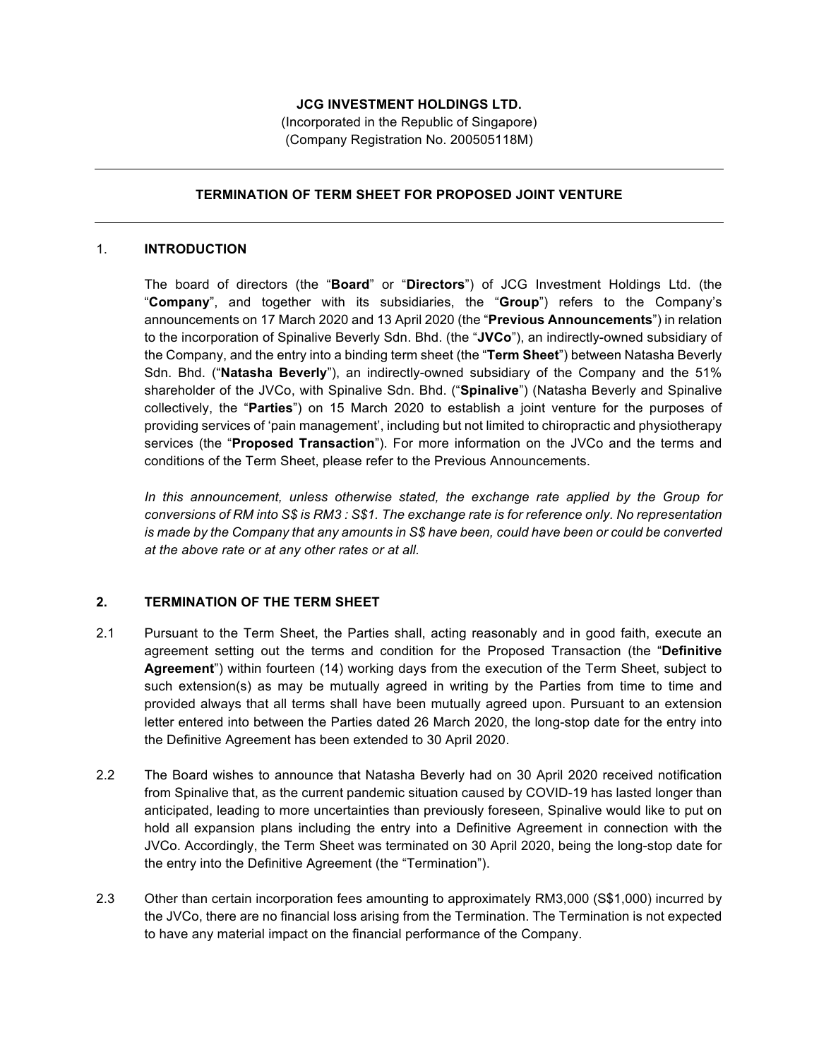# **JCG INVESTMENT HOLDINGS LTD.**

(Incorporated in the Republic of Singapore) (Company Registration No. 200505118M)

## **TERMINATION OF TERM SHEET FOR PROPOSED JOINT VENTURE**

#### 1. **INTRODUCTION**

The board of directors (the "**Board**" or "**Directors**") of JCG Investment Holdings Ltd. (the "**Company**", and together with its subsidiaries, the "**Group**") refers to the Company's announcements on 17 March 2020 and 13 April 2020 (the "**Previous Announcements**") in relation to the incorporation of Spinalive Beverly Sdn. Bhd. (the "**JVCo**"), an indirectly-owned subsidiary of the Company, and the entry into a binding term sheet (the "**Term Sheet**") between Natasha Beverly Sdn. Bhd. ("**Natasha Beverly**"), an indirectly-owned subsidiary of the Company and the 51% shareholder of the JVCo, with Spinalive Sdn. Bhd. ("**Spinalive**") (Natasha Beverly and Spinalive collectively, the "**Parties**") on 15 March 2020 to establish a joint venture for the purposes of providing services of 'pain management', including but not limited to chiropractic and physiotherapy services (the "**Proposed Transaction**"). For more information on the JVCo and the terms and conditions of the Term Sheet, please refer to the Previous Announcements.

*In this announcement, unless otherwise stated, the exchange rate applied by the Group for conversions of RM into S\$ is RM3 : S\$1. The exchange rate is for reference only. No representation is made by the Company that any amounts in S\$ have been, could have been or could be converted at the above rate or at any other rates or at all.*

#### **2. TERMINATION OF THE TERM SHEET**

- 2.1 Pursuant to the Term Sheet, the Parties shall, acting reasonably and in good faith, execute an agreement setting out the terms and condition for the Proposed Transaction (the "**Definitive Agreement**") within fourteen (14) working days from the execution of the Term Sheet, subject to such extension(s) as may be mutually agreed in writing by the Parties from time to time and provided always that all terms shall have been mutually agreed upon. Pursuant to an extension letter entered into between the Parties dated 26 March 2020, the long-stop date for the entry into the Definitive Agreement has been extended to 30 April 2020.
- 2.2 The Board wishes to announce that Natasha Beverly had on 30 April 2020 received notification from Spinalive that, as the current pandemic situation caused by COVID-19 has lasted longer than anticipated, leading to more uncertainties than previously foreseen, Spinalive would like to put on hold all expansion plans including the entry into a Definitive Agreement in connection with the JVCo. Accordingly, the Term Sheet was terminated on 30 April 2020, being the long-stop date for the entry into the Definitive Agreement (the "Termination").
- 2.3 Other than certain incorporation fees amounting to approximately RM3,000 (S\$1,000) incurred by the JVCo, there are no financial loss arising from the Termination. The Termination is not expected to have any material impact on the financial performance of the Company.